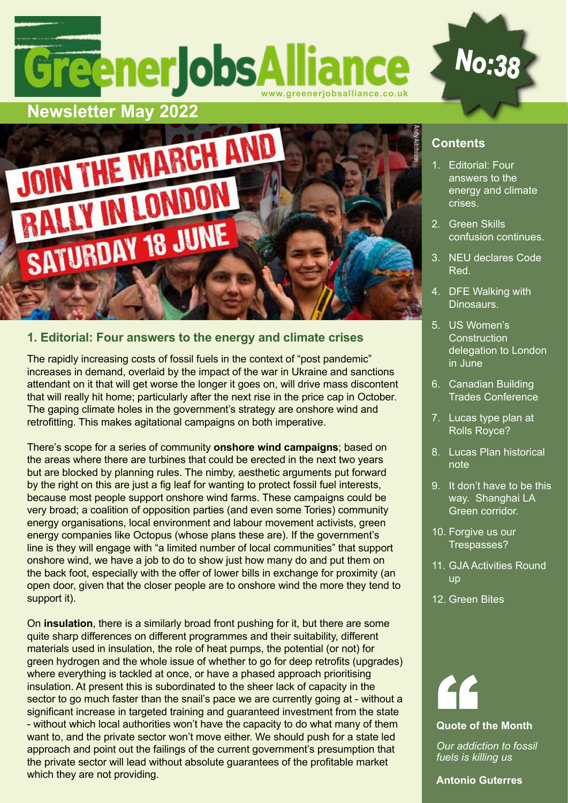# **www.greenerjobsalliance.co.uk**

## **No:38**

### **Newsletter May 2022**



#### **1. Editorial: Four answers to the energy and climate crises**

The rapidly increasing costs of fossil fuels in the context of "post pandemic" increases in demand, overlaid by the impact of the war in Ukraine and sanctions attendant on it that will get worse the longer it goes on, will drive mass discontent that will really hit home; particularly after the next rise in the price cap in October. The gaping climate holes in the government's strategy are onshore wind and retrofitting. This makes agitational campaigns on both imperative.

There's scope for a series of community **onshore wind campaigns**; based on the areas where there are turbines that could be erected in the next two years but are blocked by planning rules. The nimby, aesthetic arguments put forward by the right on this are just a fig leaf for wanting to protect fossil fuel interests, because most people support onshore wind farms. These campaigns could be very broad; a coalition of opposition parties (and even some Tories) community energy organisations, local environment and labour movement activists, green energy companies like Octopus (whose plans these are). If the government's line is they will engage with "a limited number of local communities" that support onshore wind, we have a job to do to show just how many do and put them on the back foot, especially with the offer of lower bills in exchange for proximity (an open door, given that the closer people are to onshore wind the more they tend to support it).

On **insulation**, there is a similarly broad front pushing for it, but there are some quite sharp differences on different programmes and their suitability, different materials used in insulation, the role of heat pumps, the potential (or not) for green hydrogen and the whole issue of whether to go for deep retrofits (upgrades) where everything is tackled at once, or have a phased approach prioritising insulation. At present this is subordinated to the sheer lack of capacity in the sector to go much faster than the snail's pace we are currently going at - without a significant increase in targeted training and guaranteed investment from the state - without which local authorities won't have the capacity to do what many of them want to, and the private sector won't move either. We should push for a state led approach and point out the failings of the current government's presumption that the private sector will lead without absolute guarantees of the profitable market which they are not providing.

#### **Contents**

- 1. Editorial: Four answers to the energy and climate crises.
- 2. Green Skills confusion continues.
- 3. NEU declares Code Red.
- 4. DFE Walking with Dinosaurs.
- 5. US Women's **Construction** delegation to London in June
- 6. Canadian Building Trades Conference
- 7. Lucas type plan at Rolls Royce?
- 8. Lucas Plan historical note
- 9. It don't have to be this way. Shanghai LA Green corridor.
- 10. Forgive us our Trespasses?
- 11. GJA Activities Round up
- 12. Green Bites



#### **Quote of the Month**

*Our addiction to fossil fuels is killing us* 

**Antonio Guterres**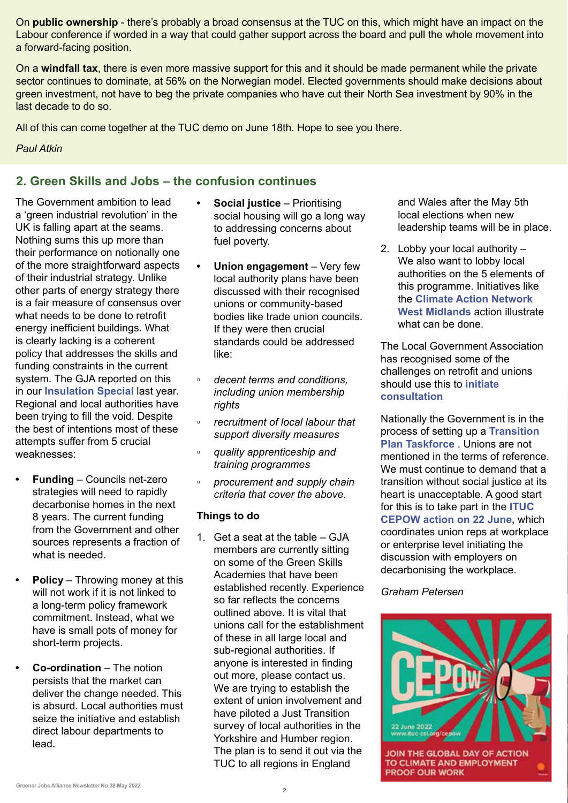On **public ownership** - there's probably a broad consensus at the TUC on this, which might have an impact on the Labour conference if worded in a way that could gather support across the board and pull the whole movement into a forward-facing position.

On a **windfall tax**, there is even more massive support for this and it should be made permanent while the private sector continues to dominate, at 56% on the Norwegian model. Elected governments should make decisions about green investment, not have to beg the private companies who have cut their North Sea investment by 90% in the last decade to do so.

All of this can come together at the TUC demo on June 18th. Hope to see you there.

#### *Paul Atkin*

#### **2. Green Skills and Jobs – the confusion continues**

The Government ambition to lead a 'green industrial revolution' in the UK is falling apart at the seams. Nothing sums this up more than their performance on notionally one of the more straightforward aspects of their industrial strategy. Unlike other parts of energy strategy there is a fair measure of consensus over what needs to be done to retrofit energy inefficient buildings. What is clearly lacking is a coherent policy that addresses the skills and funding constraints in the current system. The GJA reported on this in our **Insulation Special** last year. Regional and local authorities have been trying to fill the void. Despite the best of intentions most of these attempts suffer from 5 crucial weaknesses:

- **• Funding** Councils net-zero strategies will need to rapidly decarbonise homes in the next 8 years. The current funding from the Government and other sources represents a fraction of what is needed.
- **• Policy** Throwing money at this will not work if it is not linked to a long-term policy framework commitment. Instead, what we have is small pots of money for short-term projects.
- **• Co-ordination** The notion persists that the market can deliver the change needed. This is absurd. Local authorities must seize the initiative and establish direct labour departments to lead.
- **• Social justice** Prioritising social housing will go a long way to addressing concerns about fuel poverty.
- **• Union engagement**  Very few local authority plans have been discussed with their recognised unions or community-based bodies like trade union councils. If they were then crucial standards could be addressed like:
- *decent terms and conditions, including union membership rights*
- *recruitment of local labour that support diversity measures*
- *quality apprenticeship and training programmes*
- *procurement and supply chain criteria that cover the above.*

#### **Things to do**

1. Get a seat at the table – GJA members are currently sitting on some of the Green Skills Academies that have been established recently. Experience so far reflects the concerns outlined above. It is vital that unions call for the establishment of these in all large local and sub-regional authorities. If anyone is interested in finding out more, please contact us. We are trying to establish the extent of union involvement and have piloted a Just Transition survey of local authorities in the Yorkshire and Humber region. The plan is to send it out via the TUC to all regions in England

and Wales after the May 5th local elections when new leadership teams will be in place.

2. Lobby your local authority – We also want to lobby local authorities on the 5 elements of this programme. Initiatives like the **[Climate Action Network](https://www.facebook.com/CANWM/)  West Midlands** action illustrate what can be done.

The Local Government Association has recognised some of the challenges on retrofit and unions [should use this to](https://local.gov.uk/lga-building-housing-retrofit-skills-leadership-and-learning-programme-march-2022) **initiate consultation** 

Nationally the Government is in the [process of setting up a](https://transitiontaskforce.net/wp-content/uploads/2022/04/TransitionPlanTaskforce-TofR-3.pdf) **Transition Plan Taskforce** . Unions are not mentioned in the terms of reference. We must continue to demand that a transition without social justice at its heart is unacceptable. A good start [for this is to take part in the](https://petitions.ituc-csi.org/cepow) **ITUC CEPOW action on 22 June,** which coordinates union reps at workplace or enterprise level initiating the discussion with employers on decarbonising the workplace.

*Graham Petersen* 

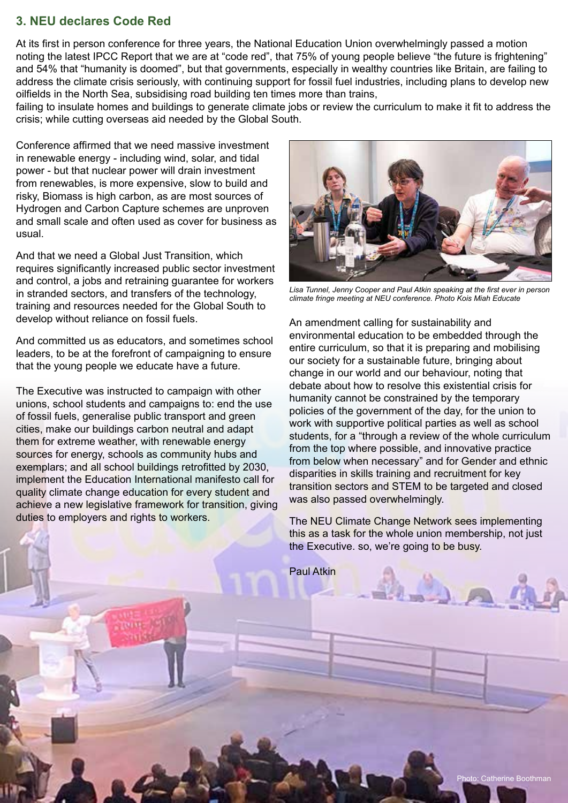#### **3. NEU declares Code Red**

At its first in person conference for three years, the National Education Union overwhelmingly passed a motion noting the latest IPCC Report that we are at "code red", that 75% of young people believe "the future is frightening" and 54% that "humanity is doomed", but that governments, especially in wealthy countries like Britain, are failing to address the climate crisis seriously, with continuing support for fossil fuel industries, including plans to develop new oilfields in the North Sea, subsidising road building ten times more than trains,

failing to insulate homes and buildings to generate climate jobs or review the curriculum to make it fit to address the crisis; while cutting overseas aid needed by the Global South.

Conference affirmed that we need massive investment in renewable energy - including wind, solar, and tidal power - but that nuclear power will drain investment from renewables, is more expensive, slow to build and risky, Biomass is high carbon, as are most sources of Hydrogen and Carbon Capture schemes are unproven and small scale and often used as cover for business as usual.

And that we need a Global Just Transition, which requires significantly increased public sector investment and control, a jobs and retraining guarantee for workers in stranded sectors, and transfers of the technology, training and resources needed for the Global South to develop without reliance on fossil fuels.

And committed us as educators, and sometimes school leaders, to be at the forefront of campaigning to ensure that the young people we educate have a future.

The Executive was instructed to campaign with other unions, school students and campaigns to: end the use of fossil fuels, generalise public transport and green cities, make our buildings carbon neutral and adapt them for extreme weather, with renewable energy sources for energy, schools as community hubs and exemplars; and all school buildings retrofitted by 2030, implement the Education International manifesto call for quality climate change education for every student and achieve a new legislative framework for transition, giving duties to employers and rights to workers.

**B. B. Greener Jobs Alliance Newsletter Inc.** 



*Lisa Tunnel, Jenny Cooper and Paul Atkin speaking at the first ever in person climate fringe meeting at NEU conference. Photo Kois Miah Educate*

An amendment calling for sustainability and environmental education to be embedded through the entire curriculum, so that it is preparing and mobilising our society for a sustainable future, bringing about change in our world and our behaviour, noting that debate about how to resolve this existential crisis for humanity cannot be constrained by the temporary policies of the government of the day, for the union to work with supportive political parties as well as school students, for a "through a review of the whole curriculum from the top where possible, and innovative practice from below when necessary" and for Gender and ethnic disparities in skills training and recruitment for key transition sectors and STEM to be targeted and closed was also passed overwhelmingly.

The NEU Climate Change Network sees implementing this as a task for the whole union membership, not just the Executive. so, we're going to be busy.

Paul Atkin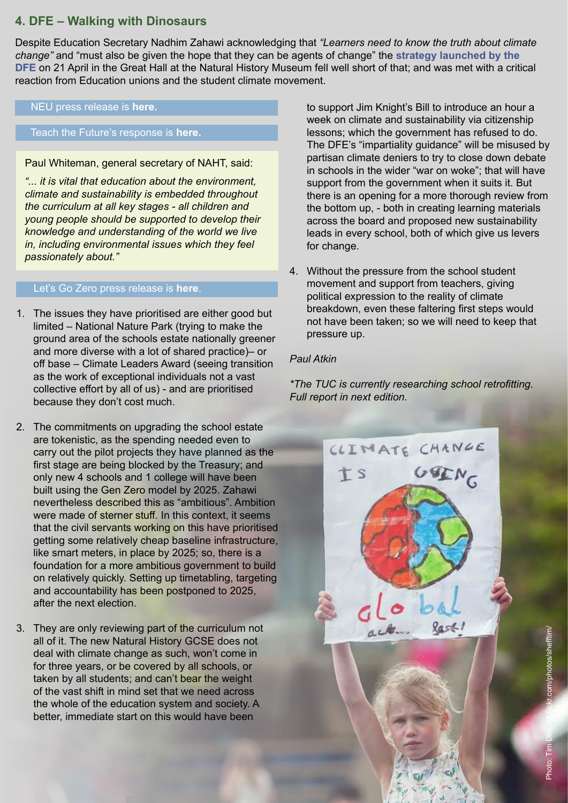#### **4. DFE – Walking with Dinosaurs**

Despite Education Secretary Nadhim Zahawi acknowledging that *"Learners need to know the truth about climate change"* and "must also be given the hope that they can be agents of change" the **[strategy launched by the](https://www.gov.uk/government/publications/sustainability-and-climate-change-strategy)  DFE** on 21 April in the Great Hall at the Natural History Museum fell well short of that; and was met with a critical reaction from Education unions and the student climate movement.

#### [NEU press release is](https://neu.org.uk/press-releases/dfe-launch-sustainability-and-climate-change-strategy) **here.**

#### [Teach the Future's response is](https://www.teachthefuture.uk/blog/reactive-to-the-dfes-final-climate-and-sustainability-strategy) **here.**

Paul Whiteman, general secretary of NAHT, said:

*"... it is vital that education about the environment, climate and sustainability is embedded throughout the curriculum at all key stages - all children and young people should be supported to develop their knowledge and understanding of the world we live in, including environmental issues which they feel passionately about."*

#### [Let's Go Zero press release is](https://letsgozero.org/department-for-educations-sustainability-and-climate-change-strategy-shows-promise-but-needs-significantly-more-money-and-greater-urgency-says-schools-climate-campaign/) **here**.

- 1. The issues they have prioritised are either good but limited – National Nature Park (trying to make the ground area of the schools estate nationally greener and more diverse with a lot of shared practice)– or off base – Climate Leaders Award (seeing transition as the work of exceptional individuals not a vast collective effort by all of us) - and are prioritised because they don't cost much.
- 2. The commitments on upgrading the school estate are tokenistic, as the spending needed even to carry out the pilot projects they have planned as the first stage are being blocked by the Treasury; and only new 4 schools and 1 college will have been built using the Gen Zero model by 2025. Zahawi nevertheless described this as "ambitious". Ambition were made of sterner stuff. In this context, it seems that the civil servants working on this have prioritised getting some relatively cheap baseline infrastructure, like smart meters, in place by 2025; so, there is a foundation for a more ambitious government to build on relatively quickly. Setting up timetabling, targeting and accountability has been postponed to 2025, after the next election.
- 3. They are only reviewing part of the curriculum not all of it. The new Natural History GCSE does not deal with climate change as such, won't come in for three years, or be covered by all schools, or taken by all students; and can't bear the weight of the vast shift in mind set that we need across the whole of the education system and society. A better, immediate start on this would have been

to support Jim Knight's Bill to introduce an hour a week on climate and sustainability via citizenship lessons; which the government has refused to do. The DFE's "impartiality guidance" will be misused by partisan climate deniers to try to close down debate in schools in the wider "war on woke"; that will have support from the government when it suits it. But there is an opening for a more thorough review from the bottom up, - both in creating learning materials across the board and proposed new sustainability leads in every school, both of which give us levers for change.

4. Without the pressure from the school student movement and support from teachers, giving political expression to the reality of climate breakdown, even these faltering first steps would not have been taken; so we will need to keep that pressure up.

#### *Paul Atkin*

*\*The TUC is currently researching school retrofitting. Full report in next edition.*

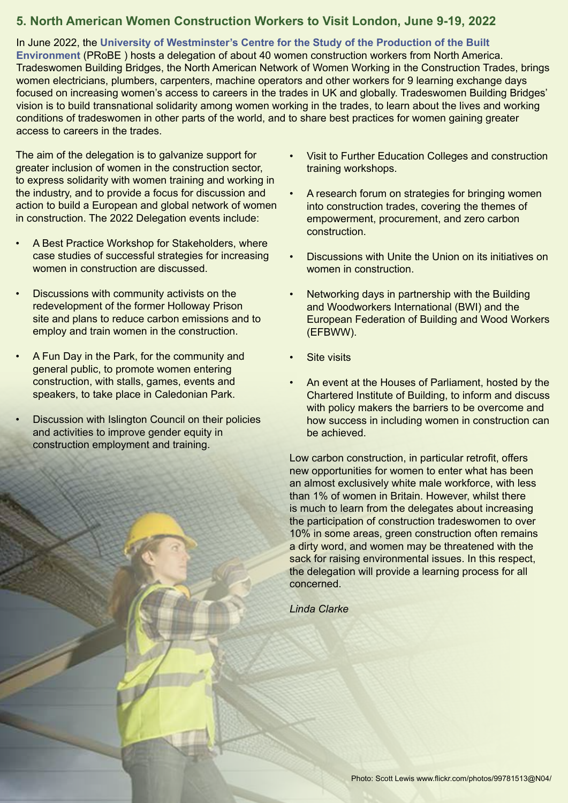#### **5. North American Women Construction Workers to Visit London, June 9-19, 2022**

In June 2022, the **[University of Westminster's Centre for the Study of the Production of the Built](https://www.westminster.ac.uk/research/groups-and-centres/centre-for-the-study-of-the-production-of-the-built-environment-probe)  Environment** (PRoBE ) hosts a delegation of about 40 women construction workers from North America. Tradeswomen Building Bridges, the North American Network of Women Working in the Construction Trades, brings women electricians, plumbers, carpenters, machine operators and other workers for 9 learning exchange days focused on increasing women's access to careers in the trades in UK and globally. Tradeswomen Building Bridges' vision is to build transnational solidarity among women working in the trades, to learn about the lives and working conditions of tradeswomen in other parts of the world, and to share best practices for women gaining greater access to careers in the trades.

The aim of the delegation is to galvanize support for greater inclusion of women in the construction sector, to express solidarity with women training and working in the industry, and to provide a focus for discussion and action to build a European and global network of women in construction. The 2022 Delegation events include:

- A Best Practice Workshop for Stakeholders, where case studies of successful strategies for increasing women in construction are discussed.
- Discussions with community activists on the redevelopment of the former Holloway Prison site and plans to reduce carbon emissions and to employ and train women in the construction.
- A Fun Day in the Park, for the community and general public, to promote women entering construction, with stalls, games, events and speakers, to take place in Caledonian Park.
- Discussion with Islington Council on their policies and activities to improve gender equity in construction employment and training.

<sup>5</sup> **Greener Jobs Alliance Newsletter No:38 May 2022**

- Visit to Further Education Colleges and construction training workshops.
- A research forum on strategies for bringing women into construction trades, covering the themes of empowerment, procurement, and zero carbon construction.
- Discussions with Unite the Union on its initiatives on women in construction.
- Networking days in partnership with the Building and Woodworkers International (BWI) and the European Federation of Building and Wood Workers (EFBWW).
- **Site visits**
- An event at the Houses of Parliament, hosted by the Chartered Institute of Building, to inform and discuss with policy makers the barriers to be overcome and how success in including women in construction can be achieved.

Low carbon construction, in particular retrofit, offers new opportunities for women to enter what has been an almost exclusively white male workforce, with less than 1% of women in Britain. However, whilst there is much to learn from the delegates about increasing the participation of construction tradeswomen to over 10% in some areas, green construction often remains a dirty word, and women may be threatened with the sack for raising environmental issues. In this respect, the delegation will provide a learning process for all concerned.

*Linda Clarke*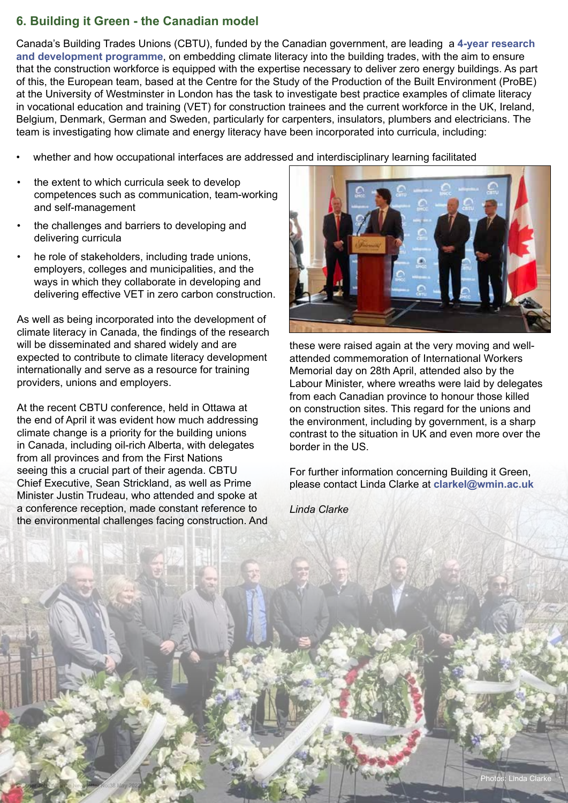#### **6. Building it Green - the Canadian model**

Canada's Building Trades Unions (CBTU), funded by the Canadian government, are leading a **[4-year research](https://buildingtrades.ca/workforce-dev/building-it-green/)  [and development programme](https://buildingtrades.ca/workforce-dev/building-it-green/)**, on embedding climate literacy into the building trades, with the aim to ensure that the construction workforce is equipped with the expertise necessary to deliver zero energy buildings. As part of this, the European team, based at the Centre for the Study of the Production of the Built Environment (ProBE) at the University of Westminster in London has the task to investigate best practice examples of climate literacy in vocational education and training (VET) for construction trainees and the current workforce in the UK, Ireland, Belgium, Denmark, German and Sweden, particularly for carpenters, insulators, plumbers and electricians. The team is investigating how climate and energy literacy have been incorporated into curricula, including:

- whether and how occupational interfaces are addressed and interdisciplinary learning facilitated
- the extent to which curricula seek to develop competences such as communication, team-working and self-management
- the challenges and barriers to developing and delivering curricula
- he role of stakeholders, including trade unions, employers, colleges and municipalities, and the ways in which they collaborate in developing and delivering effective VET in zero carbon construction.

As well as being incorporated into the development of climate literacy in Canada, the findings of the research will be disseminated and shared widely and are expected to contribute to climate literacy development internationally and serve as a resource for training providers, unions and employers.

At the recent CBTU conference, held in Ottawa at the end of April it was evident how much addressing climate change is a priority for the building unions in Canada, including oil-rich Alberta, with delegates from all provinces and from the First Nations seeing this a crucial part of their agenda. CBTU Chief Executive, Sean Strickland, as well as Prime Minister Justin Trudeau, who attended and spoke at a conference reception, made constant reference to the environmental challenges facing construction. And

<sup>6</sup> **Greener Jobs Alliance Newsletter No:38 May 2022**



these were raised again at the very moving and wellattended commemoration of International Workers Memorial day on 28th April, attended also by the Labour Minister, where wreaths were laid by delegates from each Canadian province to honour those killed on construction sites. This regard for the unions and the environment, including by government, is a sharp contrast to the situation in UK and even more over the border in the US.

For further information concerning Building it Green, please contact Linda Clarke at **clarkel@wmin.ac.uk**

*Linda Clarke*

: Linda Clarke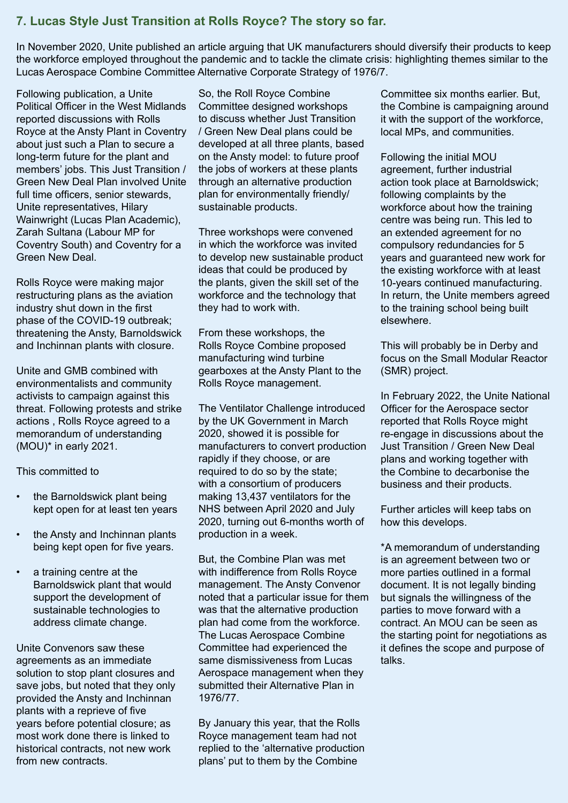#### **7. Lucas Style Just Transition at Rolls Royce? The story so far.**

In November 2020, Unite published an article arguing that UK manufacturers should diversify their products to keep the workforce employed throughout the pandemic and to tackle the climate crisis: highlighting themes similar to the Lucas Aerospace Combine Committee Alternative Corporate Strategy of 1976/7.

Following publication, a Unite Political Officer in the West Midlands reported discussions with Rolls Royce at the Ansty Plant in Coventry about just such a Plan to secure a long-term future for the plant and members' jobs. This Just Transition / Green New Deal Plan involved Unite full time officers, senior stewards. Unite representatives, Hilary Wainwright (Lucas Plan Academic), Zarah Sultana (Labour MP for Coventry South) and Coventry for a Green New Deal.

Rolls Royce were making major restructuring plans as the aviation industry shut down in the first phase of the COVID-19 outbreak; threatening the Ansty, Barnoldswick and Inchinnan plants with closure.

Unite and GMB combined with environmentalists and community activists to campaign against this threat. Following protests and strike actions , Rolls Royce agreed to a memorandum of understanding (MOU)\* in early 2021.

This committed to

- the Barnoldswick plant being kept open for at least ten years
- the Ansty and Inchinnan plants being kept open for five years.
- a training centre at the Barnoldswick plant that would support the development of sustainable technologies to address climate change.

Unite Convenors saw these agreements as an immediate solution to stop plant closures and save jobs, but noted that they only provided the Ansty and Inchinnan plants with a reprieve of five years before potential closure; as most work done there is linked to historical contracts, not new work from new contracts.

So, the Roll Royce Combine Committee designed workshops to discuss whether Just Transition / Green New Deal plans could be developed at all three plants, based on the Ansty model: to future proof the jobs of workers at these plants through an alternative production plan for environmentally friendly/ sustainable products.

Three workshops were convened in which the workforce was invited to develop new sustainable product ideas that could be produced by the plants, given the skill set of the workforce and the technology that they had to work with.

From these workshops, the Rolls Royce Combine proposed manufacturing wind turbine gearboxes at the Ansty Plant to the Rolls Royce management.

The Ventilator Challenge introduced by the UK Government in March 2020, showed it is possible for manufacturers to convert production rapidly if they choose, or are required to do so by the state; with a consortium of producers making 13,437 ventilators for the NHS between April 2020 and July 2020, turning out 6-months worth of production in a week.

But, the Combine Plan was met with indifference from Rolls Royce management. The Ansty Convenor noted that a particular issue for them was that the alternative production plan had come from the workforce. The Lucas Aerospace Combine Committee had experienced the same dismissiveness from Lucas Aerospace management when they submitted their Alternative Plan in 1976/77.

By January this year, that the Rolls Royce management team had not replied to the 'alternative production plans' put to them by the Combine

Committee six months earlier. But, the Combine is campaigning around it with the support of the workforce, local MPs, and communities.

Following the initial MOU agreement, further industrial action took place at Barnoldswick; following complaints by the workforce about how the training centre was being run. This led to an extended agreement for no compulsory redundancies for 5 years and guaranteed new work for the existing workforce with at least 10-years continued manufacturing. In return, the Unite members agreed to the training school being built elsewhere.

This will probably be in Derby and focus on the Small Modular Reactor (SMR) project.

In February 2022, the Unite National Officer for the Aerospace sector reported that Rolls Royce might re-engage in discussions about the Just Transition / Green New Deal plans and working together with the Combine to decarbonise the business and their products.

Further articles will keep tabs on how this develops.

\*A memorandum of understanding is an agreement between two or more parties outlined in a formal document. It is not legally binding but signals the willingness of the parties to move forward with a contract. An MOU can be seen as the starting point for negotiations as it defines the scope and purpose of talks.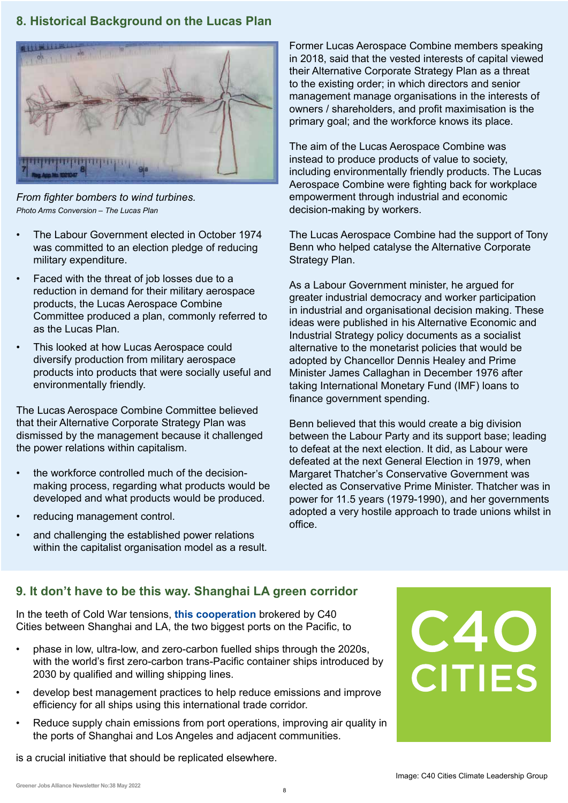#### **8. Historical Background on the Lucas Plan**



*From fighter bombers to wind turbines. Photo Arms Conversion – The Lucas Plan*

- The Labour Government elected in October 1974 was committed to an election pledge of reducing military expenditure.
- Faced with the threat of job losses due to a reduction in demand for their military aerospace products, the Lucas Aerospace Combine Committee produced a plan, commonly referred to as the Lucas Plan.
- This looked at how Lucas Aerospace could diversify production from military aerospace products into products that were socially useful and environmentally friendly.

The Lucas Aerospace Combine Committee believed that their Alternative Corporate Strategy Plan was dismissed by the management because it challenged the power relations within capitalism.

- the workforce controlled much of the decisionmaking process, regarding what products would be developed and what products would be produced.
- reducing management control.
- and challenging the established power relations within the capitalist organisation model as a result.

Former Lucas Aerospace Combine members speaking in 2018, said that the vested interests of capital viewed their Alternative Corporate Strategy Plan as a threat to the existing order; in which directors and senior management manage organisations in the interests of owners / shareholders, and profit maximisation is the primary goal; and the workforce knows its place.

The aim of the Lucas Aerospace Combine was instead to produce products of value to society, including environmentally friendly products. The Lucas Aerospace Combine were fighting back for workplace empowerment through industrial and economic decision-making by workers.

The Lucas Aerospace Combine had the support of Tony Benn who helped catalyse the Alternative Corporate Strategy Plan.

As a Labour Government minister, he argued for greater industrial democracy and worker participation in industrial and organisational decision making. These ideas were published in his Alternative Economic and Industrial Strategy policy documents as a socialist alternative to the monetarist policies that would be adopted by Chancellor Dennis Healey and Prime Minister James Callaghan in December 1976 after taking International Monetary Fund (IMF) loans to finance government spending.

Benn believed that this would create a big division between the Labour Party and its support base; leading to defeat at the next election. It did, as Labour were defeated at the next General Election in 1979, when Margaret Thatcher's Conservative Government was elected as Conservative Prime Minister. Thatcher was in power for 11.5 years (1979-1990), and her governments adopted a very hostile approach to trade unions whilst in office.

#### **9. It don't have to be this way. Shanghai LA green corridor**

In the teeth of Cold War tensions, **[this cooperation](https://www.c40.org/news/la-shanghai-green-shipping-corridor/)** brokered by C40 Cities between Shanghai and LA, the two biggest ports on the Pacific, to

- phase in low, ultra-low, and zero-carbon fuelled ships through the 2020s, with the world's first zero-carbon trans-Pacific container ships introduced by 2030 by qualified and willing shipping lines.
- develop best management practices to help reduce emissions and improve efficiency for all ships using this international trade corridor.
- Reduce supply chain emissions from port operations, improving air quality in the ports of Shanghai and Los Angeles and adjacent communities.

is a crucial initiative that should be replicated elsewhere.

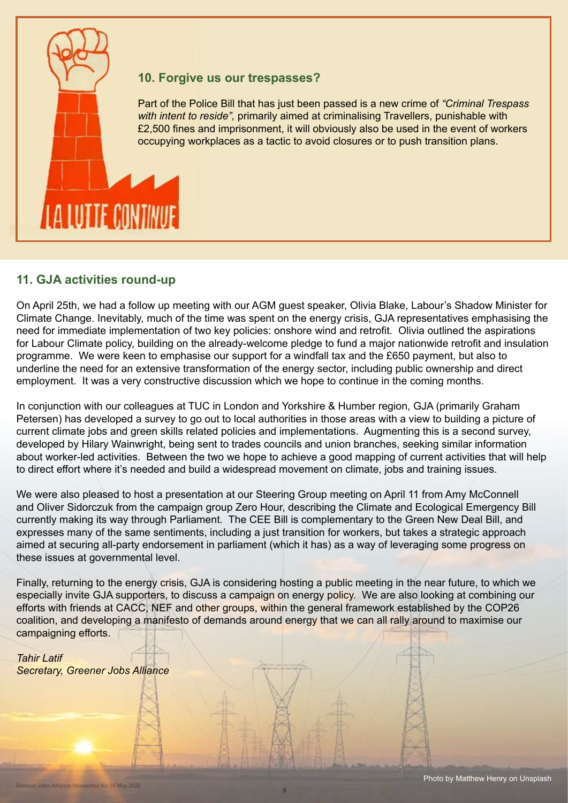

#### **10. Forgive us our trespasses?**

Part of the Police Bill that has just been passed is a new crime of *"Criminal Trespass with intent to reside",* primarily aimed at criminalising Travellers, punishable with £2,500 fines and imprisonment, it will obviously also be used in the event of workers occupying workplaces as a tactic to avoid closures or to push transition plans.

#### **11. GJA activities round-up**

On April 25th, we had a follow up meeting with our AGM guest speaker, Olivia Blake, Labour's Shadow Minister for Climate Change. Inevitably, much of the time was spent on the energy crisis, GJA representatives emphasising the need for immediate implementation of two key policies: onshore wind and retrofit. Olivia outlined the aspirations for Labour Climate policy, building on the already-welcome pledge to fund a major nationwide retrofit and insulation programme. We were keen to emphasise our support for a windfall tax and the £650 payment, but also to underline the need for an extensive transformation of the energy sector, including public ownership and direct employment. It was a very constructive discussion which we hope to continue in the coming months.

In conjunction with our colleagues at TUC in London and Yorkshire & Humber region, GJA (primarily Graham Petersen) has developed a survey to go out to local authorities in those areas with a view to building a picture of current climate jobs and green skills related policies and implementations. Augmenting this is a second survey, developed by Hilary Wainwright, being sent to trades councils and union branches, seeking similar information about worker-led activities. Between the two we hope to achieve a good mapping of current activities that will help to direct effort where it's needed and build a widespread movement on climate, jobs and training issues.

We were also pleased to host a presentation at our Steering Group meeting on April 11 from Amy McConnell and Oliver Sidorczuk from the campaign group Zero Hour, describing the Climate and Ecological Emergency Bill currently making its way through Parliament. The CEE Bill is complementary to the Green New Deal Bill, and expresses many of the same sentiments, including a just transition for workers, but takes a strategic approach aimed at securing all-party endorsement in parliament (which it has) as a way of leveraging some progress on these issues at governmental level.

Finally, returning to the energy crisis, GJA is considering hosting a public meeting in the near future, to which we especially invite GJA supporters, to discuss a campaign on energy policy. We are also looking at combining our efforts with friends at CACC, NEF and other groups, within the general framework established by the COP26 coalition, and developing a manifesto of demands around energy that we can all rally around to maximise our campaigning efforts.

*Tahir Latif Secretary, Greener Jobs Alliance*